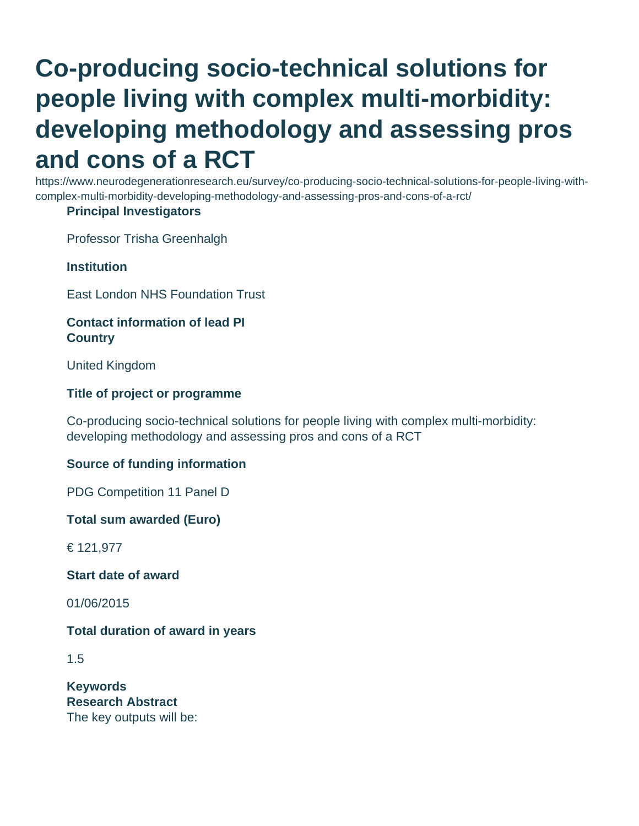# **Co-producing socio-technical solutions for people living with complex multi-morbidity: developing methodology and assessing pros and cons of a RCT**

https://www.neurodegenerationresearch.eu/survey/co-producing-socio-technical-solutions-for-people-living-withcomplex-multi-morbidity-developing-methodology-and-assessing-pros-and-cons-of-a-rct/

# **Principal Investigators**

Professor Trisha Greenhalgh

**Institution**

East London NHS Foundation Trust

# **Contact information of lead PI Country**

United Kingdom

# **Title of project or programme**

Co-producing socio-technical solutions for people living with complex multi-morbidity: developing methodology and assessing pros and cons of a RCT

# **Source of funding information**

PDG Competition 11 Panel D

**Total sum awarded (Euro)**

€ 121,977

**Start date of award**

01/06/2015

# **Total duration of award in years**

1.5

**Keywords Research Abstract** The key outputs will be: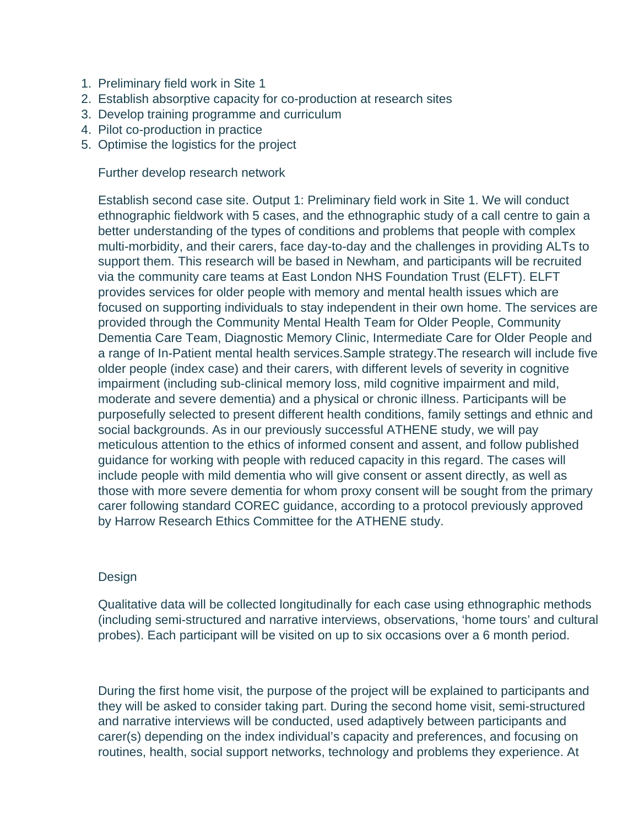- 1. Preliminary field work in Site 1
- 2. Establish absorptive capacity for co-production at research sites
- 3. Develop training programme and curriculum
- 4. Pilot co-production in practice
- 5. Optimise the logistics for the project

Further develop research network

Establish second case site. Output 1: Preliminary field work in Site 1. We will conduct ethnographic fieldwork with 5 cases, and the ethnographic study of a call centre to gain a better understanding of the types of conditions and problems that people with complex multi-morbidity, and their carers, face day-to-day and the challenges in providing ALTs to support them. This research will be based in Newham, and participants will be recruited via the community care teams at East London NHS Foundation Trust (ELFT). ELFT provides services for older people with memory and mental health issues which are focused on supporting individuals to stay independent in their own home. The services are provided through the Community Mental Health Team for Older People, Community Dementia Care Team, Diagnostic Memory Clinic, Intermediate Care for Older People and a range of In-Patient mental health services.Sample strategy.The research will include five older people (index case) and their carers, with different levels of severity in cognitive impairment (including sub-clinical memory loss, mild cognitive impairment and mild, moderate and severe dementia) and a physical or chronic illness. Participants will be purposefully selected to present different health conditions, family settings and ethnic and social backgrounds. As in our previously successful ATHENE study, we will pay meticulous attention to the ethics of informed consent and assent, and follow published guidance for working with people with reduced capacity in this regard. The cases will include people with mild dementia who will give consent or assent directly, as well as those with more severe dementia for whom proxy consent will be sought from the primary carer following standard COREC guidance, according to a protocol previously approved by Harrow Research Ethics Committee for the ATHENE study.

# **Design**

Qualitative data will be collected longitudinally for each case using ethnographic methods (including semi-structured and narrative interviews, observations, 'home tours' and cultural probes). Each participant will be visited on up to six occasions over a 6 month period.

During the first home visit, the purpose of the project will be explained to participants and they will be asked to consider taking part. During the second home visit, semi-structured and narrative interviews will be conducted, used adaptively between participants and carer(s) depending on the index individual's capacity and preferences, and focusing on routines, health, social support networks, technology and problems they experience. At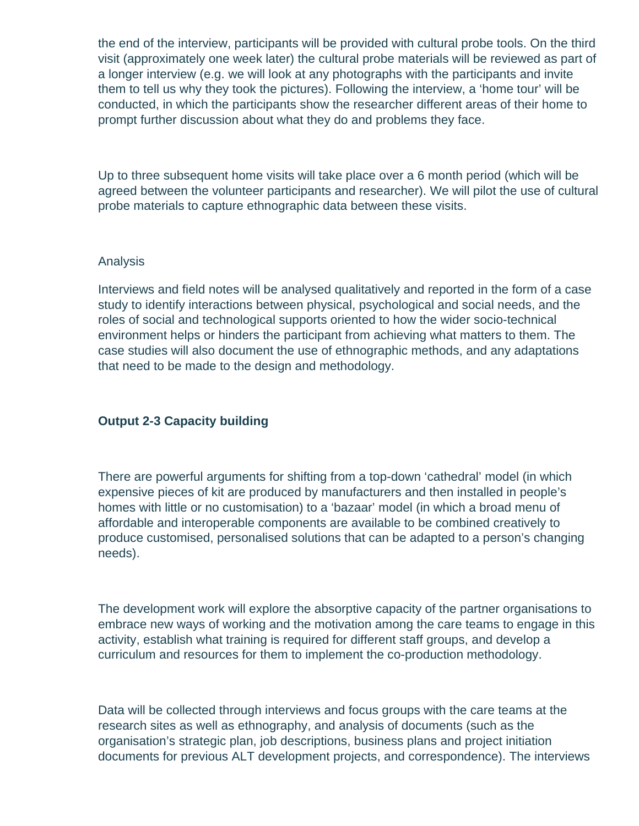the end of the interview, participants will be provided with cultural probe tools. On the third visit (approximately one week later) the cultural probe materials will be reviewed as part of a longer interview (e.g. we will look at any photographs with the participants and invite them to tell us why they took the pictures). Following the interview, a 'home tour' will be conducted, in which the participants show the researcher different areas of their home to prompt further discussion about what they do and problems they face.

Up to three subsequent home visits will take place over a 6 month period (which will be agreed between the volunteer participants and researcher). We will pilot the use of cultural probe materials to capture ethnographic data between these visits.

#### Analysis

Interviews and field notes will be analysed qualitatively and reported in the form of a case study to identify interactions between physical, psychological and social needs, and the roles of social and technological supports oriented to how the wider socio-technical environment helps or hinders the participant from achieving what matters to them. The case studies will also document the use of ethnographic methods, and any adaptations that need to be made to the design and methodology.

#### **Output 2-3 Capacity building**

There are powerful arguments for shifting from a top-down 'cathedral' model (in which expensive pieces of kit are produced by manufacturers and then installed in people's homes with little or no customisation) to a 'bazaar' model (in which a broad menu of affordable and interoperable components are available to be combined creatively to produce customised, personalised solutions that can be adapted to a person's changing needs).

The development work will explore the absorptive capacity of the partner organisations to embrace new ways of working and the motivation among the care teams to engage in this activity, establish what training is required for different staff groups, and develop a curriculum and resources for them to implement the co-production methodology.

Data will be collected through interviews and focus groups with the care teams at the research sites as well as ethnography, and analysis of documents (such as the organisation's strategic plan, job descriptions, business plans and project initiation documents for previous ALT development projects, and correspondence). The interviews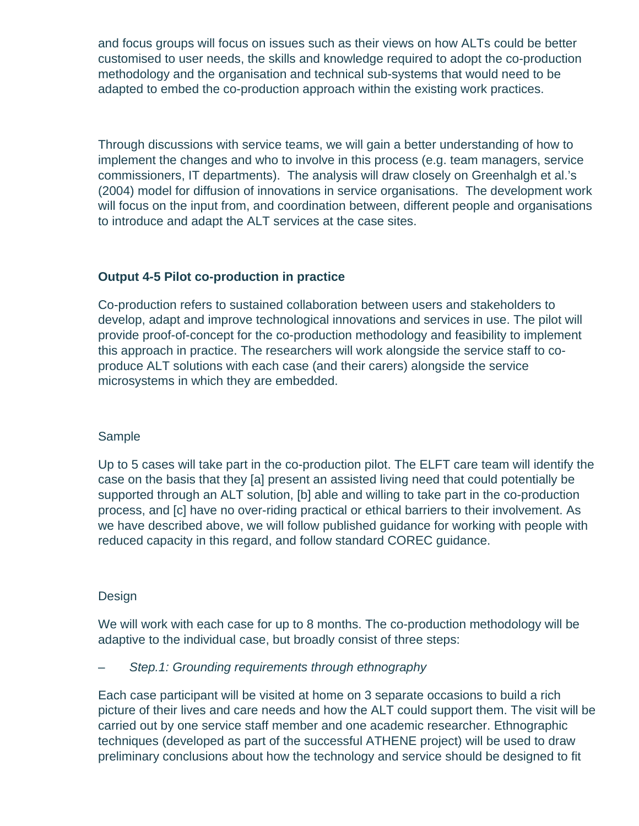and focus groups will focus on issues such as their views on how ALTs could be better customised to user needs, the skills and knowledge required to adopt the co-production methodology and the organisation and technical sub-systems that would need to be adapted to embed the co-production approach within the existing work practices.

Through discussions with service teams, we will gain a better understanding of how to implement the changes and who to involve in this process (e.g. team managers, service commissioners, IT departments). The analysis will draw closely on Greenhalgh et al.'s (2004) model for diffusion of innovations in service organisations. The development work will focus on the input from, and coordination between, different people and organisations to introduce and adapt the ALT services at the case sites.

# **Output 4-5 Pilot co-production in practice**

Co-production refers to sustained collaboration between users and stakeholders to develop, adapt and improve technological innovations and services in use. The pilot will provide proof-of-concept for the co-production methodology and feasibility to implement this approach in practice. The researchers will work alongside the service staff to coproduce ALT solutions with each case (and their carers) alongside the service microsystems in which they are embedded.

# Sample

Up to 5 cases will take part in the co-production pilot. The ELFT care team will identify the case on the basis that they [a] present an assisted living need that could potentially be supported through an ALT solution, [b] able and willing to take part in the co-production process, and [c] have no over-riding practical or ethical barriers to their involvement. As we have described above, we will follow published guidance for working with people with reduced capacity in this regard, and follow standard COREC guidance.

# Design

We will work with each case for up to 8 months. The co-production methodology will be adaptive to the individual case, but broadly consist of three steps:

# Step.1: Grounding requirements through ethnography

Each case participant will be visited at home on 3 separate occasions to build a rich picture of their lives and care needs and how the ALT could support them. The visit will be carried out by one service staff member and one academic researcher. Ethnographic techniques (developed as part of the successful ATHENE project) will be used to draw preliminary conclusions about how the technology and service should be designed to fit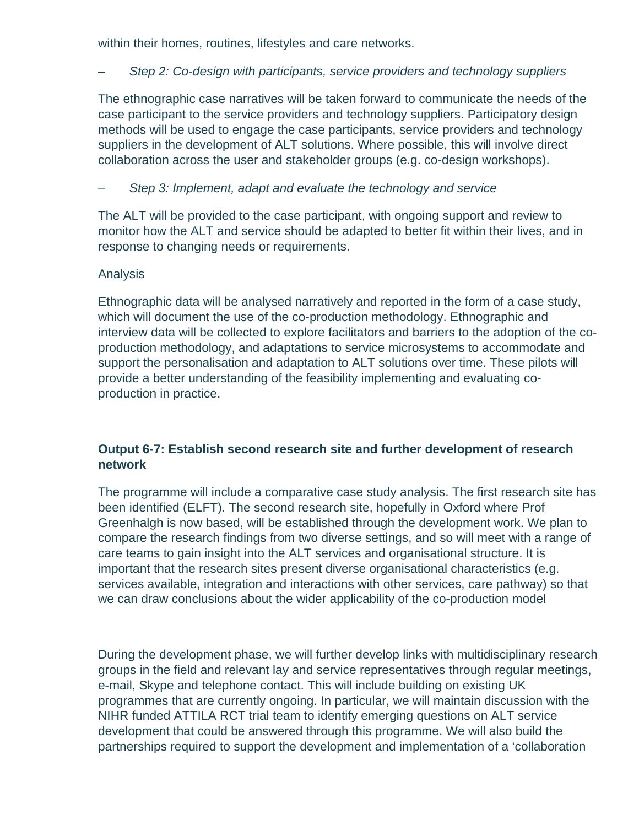within their homes, routines, lifestyles and care networks.

# – Step 2: Co-design with participants, service providers and technology suppliers

The ethnographic case narratives will be taken forward to communicate the needs of the case participant to the service providers and technology suppliers. Participatory design methods will be used to engage the case participants, service providers and technology suppliers in the development of ALT solutions. Where possible, this will involve direct collaboration across the user and stakeholder groups (e.g. co-design workshops).

# Step 3: Implement, adapt and evaluate the technology and service

The ALT will be provided to the case participant, with ongoing support and review to monitor how the ALT and service should be adapted to better fit within their lives, and in response to changing needs or requirements.

# Analysis

Ethnographic data will be analysed narratively and reported in the form of a case study, which will document the use of the co-production methodology. Ethnographic and interview data will be collected to explore facilitators and barriers to the adoption of the coproduction methodology, and adaptations to service microsystems to accommodate and support the personalisation and adaptation to ALT solutions over time. These pilots will provide a better understanding of the feasibility implementing and evaluating coproduction in practice.

# **Output 6-7: Establish second research site and further development of research network**

The programme will include a comparative case study analysis. The first research site has been identified (ELFT). The second research site, hopefully in Oxford where Prof Greenhalgh is now based, will be established through the development work. We plan to compare the research findings from two diverse settings, and so will meet with a range of care teams to gain insight into the ALT services and organisational structure. It is important that the research sites present diverse organisational characteristics (e.g. services available, integration and interactions with other services, care pathway) so that we can draw conclusions about the wider applicability of the co-production model

During the development phase, we will further develop links with multidisciplinary research groups in the field and relevant lay and service representatives through regular meetings, e-mail, Skype and telephone contact. This will include building on existing UK programmes that are currently ongoing. In particular, we will maintain discussion with the NIHR funded ATTILA RCT trial team to identify emerging questions on ALT service development that could be answered through this programme. We will also build the partnerships required to support the development and implementation of a 'collaboration